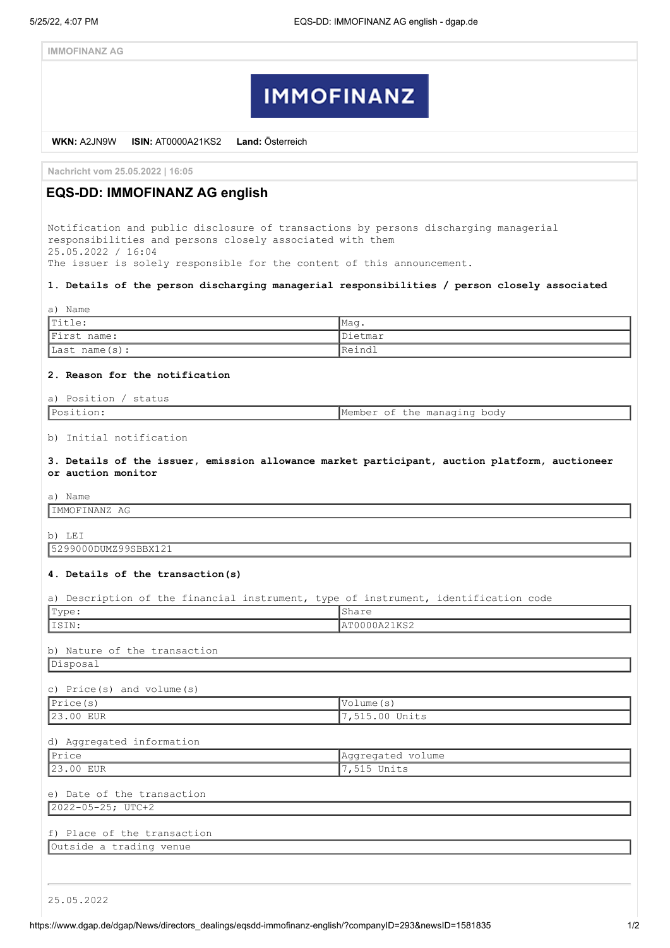# **IMMOFINANZ**

**WKN:** A2JN9W **ISIN:** AT0000A21KS2 **Land:** Österreich

**Nachricht vom 25.05.2022 | 16:05**

# **EQS-DD: IMMOFINANZ AG english**

Notification and public disclosure of transactions by persons discharging managerial responsibilities and persons closely associated with them 25.05.2022 / 16:04 The issuer is solely responsible for the content of this announcement.

### **1. Details of the person discharging managerial responsibilities / person closely associated**

| a) Name           |                |  |  |  |  |  |  |
|-------------------|----------------|--|--|--|--|--|--|
| $ $ Title:        | lMaq           |  |  |  |  |  |  |
| First name:       | <i>Dietmar</i> |  |  |  |  |  |  |
| Last name $(s)$ : | IReindl        |  |  |  |  |  |  |

# **2. Reason for the notification**

### a) Position / status

Member of the managing body

## b) Initial notification

**3. Details of the issuer, emission allowance market participant, auction platform, auctioneer or auction monitor**

a) Name

IMMOFINANZ AG

b) LEI

5299000DUMZ99SBBX121

#### **4. Details of the transaction(s)**

|  |  |  |  | a) Description of the financial instrument, type of instrument, identification code |  |
|--|--|--|--|-------------------------------------------------------------------------------------|--|
|  |  |  |  |                                                                                     |  |
|  |  |  |  |                                                                                     |  |

| Type:                        | Share             |  |  |  |
|------------------------------|-------------------|--|--|--|
| ISIN:                        | AT0000A21KS2      |  |  |  |
|                              |                   |  |  |  |
| b) Nature of the transaction |                   |  |  |  |
| Disposal                     |                   |  |  |  |
|                              |                   |  |  |  |
| c) Price(s) and $volume(s)$  |                   |  |  |  |
| $\sqrt{\text{Price}}(s)$     | Volume(s)         |  |  |  |
| 23.00 EUR                    | 7,515.00 Units    |  |  |  |
|                              |                   |  |  |  |
| d) Aggregated information    |                   |  |  |  |
| Price                        | Aggregated volume |  |  |  |
| 23.00 EUR                    | 7,515 Units       |  |  |  |
|                              |                   |  |  |  |
| e) Date of the transaction   |                   |  |  |  |
| $2022 - 05 - 25$ ; UTC+2     |                   |  |  |  |
|                              |                   |  |  |  |
| f) Place of the transaction  |                   |  |  |  |
| Outside a trading venue      |                   |  |  |  |
|                              |                   |  |  |  |